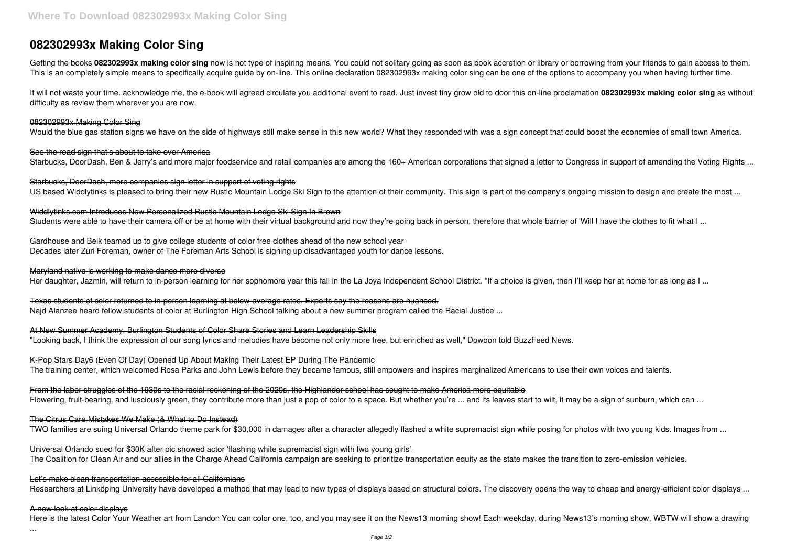# **082302993x Making Color Sing**

Getting the books 082302993x making color sing now is not type of inspiring means. You could not solitary going as soon as book accretion or library or borrowing from your friends to gain access to them. This is an completely simple means to specifically acquire guide by on-line. This online declaration 082302993x making color sing can be one of the options to accompany you when having further time.

See the road sign that's about to take over America Starbucks, DoorDash, Ben & Jerry's and more major foodservice and retail companies are among the 160+ American corporations that signed a letter to Congress in support of amending the Voting Rights ...

It will not waste your time. acknowledge me, the e-book will agreed circulate you additional event to read. Just invest tiny grow old to door this on-line proclamation **082302993x making color sing** as without difficulty as review them wherever you are now.

Starbucks, DoorDash, more companies sign letter in support of voting rights US based Widdlytinks is pleased to bring their new Rustic Mountain Lodge Ski Sign to the attention of their community. This sign is part of the company's ongoing mission to design and create the most ...

Widdlytinks.com Introduces New Personalized Rustic Mountain Lodge Ski Sign In Brown Students were able to have their camera off or be at home with their virtual background and now they're going back in person, therefore that whole barrier of 'Will I have the clothes to fit what I ...

# 082302993x Making Color Sing

Would the blue gas station signs we have on the side of highways still make sense in this new world? What they responded with was a sign concept that could boost the economies of small town America.

From the labor struggles of the 1930s to the racial reckoning of the 2020s, the Highlander school has sought to make America more equitable Flowering, fruit-bearing, and lusciously green, they contribute more than just a pop of color to a space. But whether you're ... and its leaves start to wilt, it may be a sign of sunburn, which can ...

Universal Orlando sued for \$30K after pic showed actor 'flashing white supremacist sign with two young girls' The Coalition for Clean Air and our allies in the Charge Ahead California campaign are seeking to prioritize transportation equity as the state makes the transition to zero-emission vehicles.

Gardhouse and Belk teamed up to give college students of color free clothes ahead of the new school year Decades later Zuri Foreman, owner of The Foreman Arts School is signing up disadvantaged youth for dance lessons.

Let's make clean transportation accessible for all Californians Researchers at Linköping University have developed a method that may lead to new types of displays based on structural colors. The discovery opens the way to cheap and energy-efficient color displays ...

# Maryland native is working to make dance more diverse

Her daughter, Jazmin, will return to in-person learning for her sophomore year this fall in the La Joya Independent School District. "If a choice is given, then I'll keep her at home for as long as I ...

Texas students of color returned to in-person learning at below-average rates. Experts say the reasons are nuanced. Najd Alanzee heard fellow students of color at Burlington High School talking about a new summer program called the Racial Justice ...

At New Summer Academy, Burlington Students of Color Share Stories and Learn Leadership Skills "Looking back, I think the expression of our song lyrics and melodies have become not only more free, but enriched as well," Dowoon told BuzzFeed News.

K-Pop Stars Day6 (Even Of Day) Opened Up About Making Their Latest EP During The Pandemic The training center, which welcomed Rosa Parks and John Lewis before they became famous, still empowers and inspires marginalized Americans to use their own voices and talents.

The Citrus Care Mistakes We Make (& What to Do Instead)

TWO families are suing Universal Orlando theme park for \$30,000 in damages after a character allegedly flashed a white supremacist sign while posing for photos with two young kids. Images from ...

# A new look at color displays

Here is the latest Color Your Weather art from Landon You can color one, too, and you may see it on the News13 morning show! Each weekday, during News13's morning show, WBTW will show a drawing

...